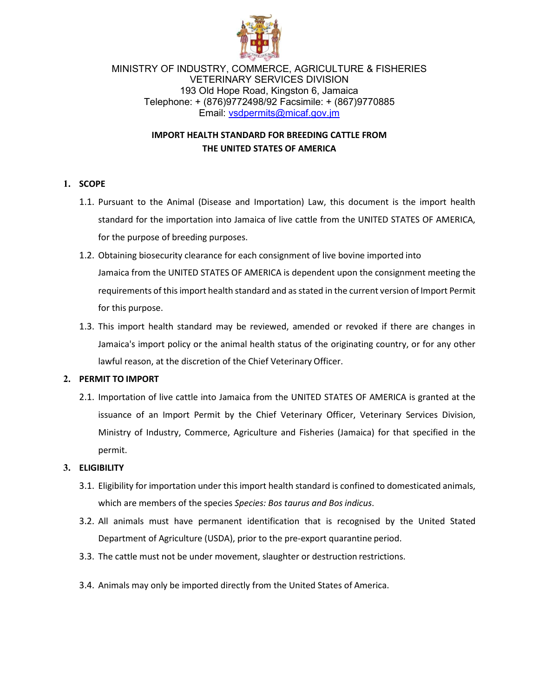

MINISTRY OF INDUSTRY, COMMERCE, AGRICULTURE & FISHERIES VETERINARY SERVICES DIVISION 193 Old Hope Road, Kingston 6, Jamaica Telephone: + (876)9772498/92 Facsimile: + (867)9770885 Email: [vsdpermits@micaf.gov.jm](mailto:vsdpermits@micaf.gov.jm)

# **IMPORT HEALTH STANDARD FOR BREEDING CATTLE FROM THE UNITED STATES OF AMERICA**

# **1. SCOPE**

- 1.1. Pursuant to the Animal (Disease and Importation) Law, this document is the import health standard for the importation into Jamaica of live cattle from the UNITED STATES OF AMERICA, for the purpose of breeding purposes.
- 1.2. Obtaining biosecurity clearance for each consignment of live bovine imported into Jamaica from the UNITED STATES OF AMERICA is dependent upon the consignment meeting the requirements of this import health standard and as stated in the current version of Import Permit for this purpose.
- 1.3. This import health standard may be reviewed, amended or revoked if there are changes in Jamaica's import policy or the animal health status of the originating country, or for any other lawful reason, at the discretion of the Chief Veterinary Officer.

## **2. PERMIT TO IMPORT**

2.1. Importation of live cattle into Jamaica from the UNITED STATES OF AMERICA is granted at the issuance of an Import Permit by the Chief Veterinary Officer, Veterinary Services Division, Ministry of Industry, Commerce, Agriculture and Fisheries (Jamaica) for that specified in the permit.

# **3. ELIGIBILITY**

- 3.1. Eligibility for importation under this import health standard is confined to domesticated animals, which are members of the species *Species: Bos taurus and Bosindicus*.
- 3.2. All animals must have permanent identification that is recognised by the United Stated Department of Agriculture (USDA), prior to the pre-export quarantine period.
- 3.3. The cattle must not be under movement, slaughter or destruction restrictions.
- 3.4. Animals may only be imported directly from the United States of America.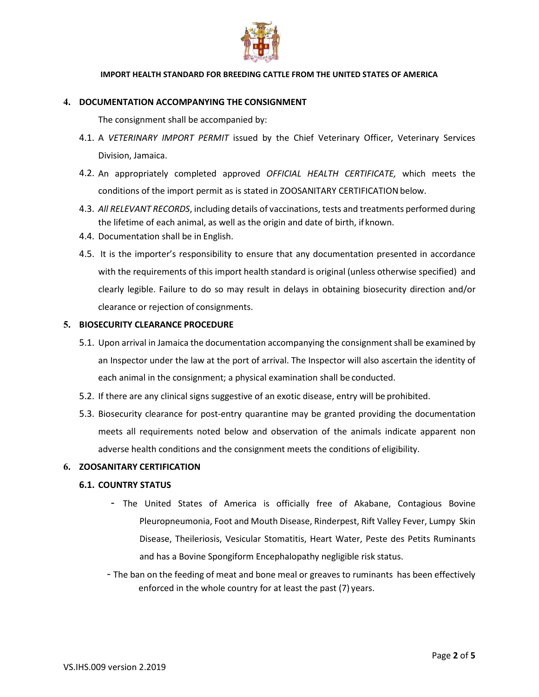

#### **4. DOCUMENTATION ACCOMPANYING THE CONSIGNMENT**

The consignment shall be accompanied by:

- 4.1. A *VETERINARY IMPORT PERMIT* issued by the Chief Veterinary Officer, Veterinary Services Division, Jamaica.
- 4.2. An appropriately completed approved *OFFICIAL HEALTH CERTIFICATE,* which meets the conditions of the import permit as is stated in ZOOSANITARY CERTIFICATIONbelow.
- 4.3. *All RELEVANT RECORDS*, including details of vaccinations, tests and treatments performed during the lifetime of each animal, as well as the origin and date of birth, if known.
- 4.4. Documentation shall be in English.
- 4.5. It is the importer's responsibility to ensure that any documentation presented in accordance with the requirements of this import health standard is original (unless otherwise specified) and clearly legible. Failure to do so may result in delays in obtaining biosecurity direction and/or clearance or rejection of consignments.

#### **5. BIOSECURITY CLEARANCE PROCEDURE**

- 5.1. Upon arrival in Jamaica the documentation accompanying the consignment shall be examined by an Inspector under the law at the port of arrival. The Inspector will also ascertain the identity of each animal in the consignment; a physical examination shall be conducted.
- 5.2. If there are any clinical signs suggestive of an exotic disease, entry will be prohibited.
- 5.3. Biosecurity clearance for post-entry quarantine may be granted providing the documentation meets all requirements noted below and observation of the animals indicate apparent non adverse health conditions and the consignment meets the conditions of eligibility.

#### **6. ZOOSANITARY CERTIFICATION**

#### **6.1. COUNTRY STATUS**

- The United States of America is officially free of Akabane, Contagious Bovine Pleuropneumonia, Foot and Mouth Disease, Rinderpest, Rift Valley Fever, Lumpy Skin Disease, Theileriosis, Vesicular Stomatitis, Heart Water, Peste des Petits Ruminants and has a Bovine Spongiform Encephalopathy negligible risk status.
- The ban on the feeding of meat and bone meal or greaves to ruminants has been effectively enforced in the whole country for at least the past (7) years.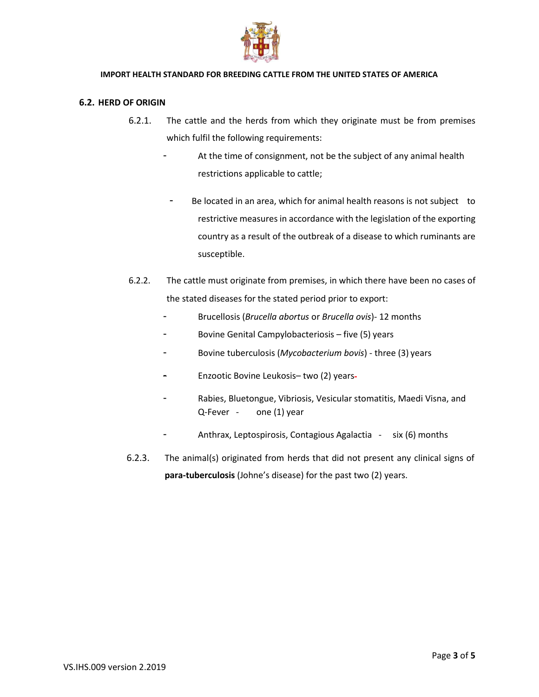

### **6.2. HERD OF ORIGIN**

- 6.2.1. The cattle and the herds from which they originate must be from premises which fulfil the following requirements:
	- At the time of consignment, not be the subject of any animal health restrictions applicable to cattle;
	- Be located in an area, which for animal health reasons is not subject to restrictive measures in accordance with the legislation of the exporting country as a result of the outbreak of a disease to which ruminants are susceptible.
- 6.2.2. The cattle must originate from premises, in which there have been no cases of the stated diseases for the stated period prior to export:
	- Brucellosis (*Brucella abortus* or *Brucella ovis*)- 12 months
	- Bovine Genital Campylobacteriosis five (5) years
	- Bovine tuberculosis (*Mycobacterium bovis*) three (3) years
	- Enzootic Bovine Leukosis– two (2) years
	- Rabies, Bluetongue, Vibriosis, Vesicular stomatitis, Maedi Visna, and Q-Fever - one (1) year
		- Anthrax, Leptospirosis, Contagious Agalactia six (6) months
- 6.2.3. The animal(s) originated from herds that did not present any clinical signs of **para-tuberculosis** (Johne's disease) for the past two (2) years.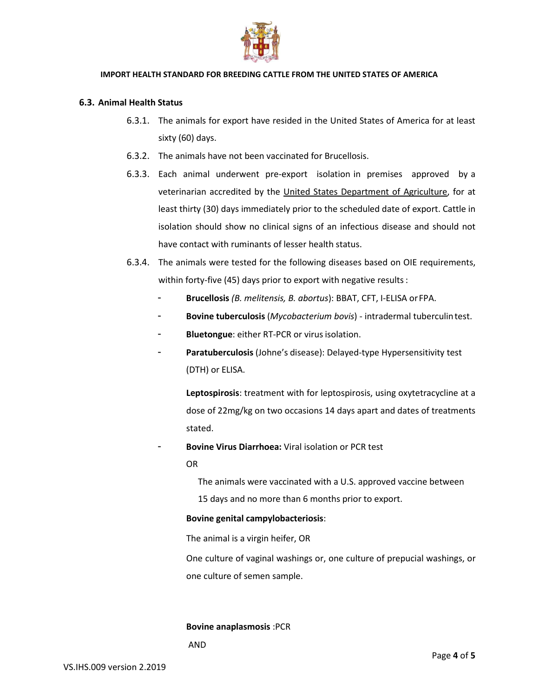

#### **6.3. Animal Health Status**

- 6.3.1. The animals for export have resided in the United States of America for at least sixty (60) days.
- 6.3.2. The animals have not been vaccinated for Brucellosis.
- 6.3.3. Each animal underwent pre-export isolation in premises approved by a veterinarian accredited by the United States Department of Agriculture, for at least thirty (30) days immediately prior to the scheduled date of export. Cattle in isolation should show no clinical signs of an infectious disease and should not have contact with ruminants of lesser health status.
- 6.3.4. The animals were tested for the following diseases based on OIE requirements, within forty-five (45) days prior to export with negative results:
	- **Brucellosis** *(B. melitensis, B. abortus*): BBAT, CFT, I-ELISA orFPA.
	- **Bovine tuberculosis** (*Mycobacterium bovis*) intradermal tuberculintest.
	- Bluetongue: either RT-PCR or virus isolation.
	- Paratuberculosis (Johne's disease): Delayed-type Hypersensitivity test (DTH) or ELISA.

**Leptospirosis**: treatment with for leptospirosis, using oxytetracycline at a dose of 22mg/kg on two occasions 14 days apart and dates of treatments stated.

- **Bovine Virus Diarrhoea:** Viral isolation or PCR test

OR

The animals were vaccinated with a U.S. approved vaccine between

15 days and no more than 6 months prior to export.

#### **Bovine genital campylobacteriosis**:

The animal is a virgin heifer, OR

One culture of vaginal washings or, one culture of prepucial washings, or one culture of semen sample.

**Bovine anaplasmosis** :PCR